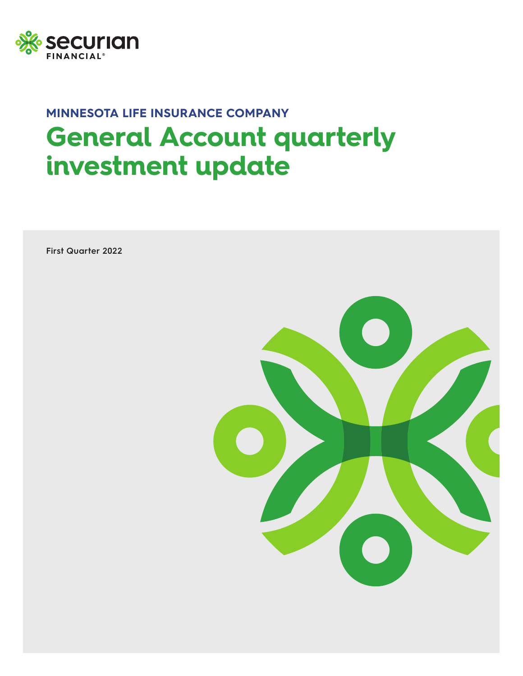

# **MINNESOTA LIFE INSURANCE COMPANY General Account quarterly investment update**

**First Quarter 2022**

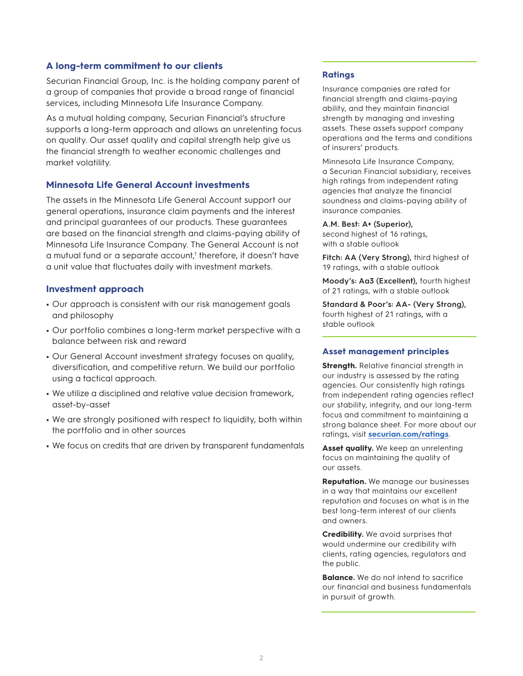# **A long-term commitment to our clients**

Securian Financial Group, Inc. is the holding company parent of a group of companies that provide a broad range of financial services, including Minnesota Life Insurance Company.

As a mutual holding company, Securian Financial's structure supports a long-term approach and allows an unrelenting focus on quality. Our asset quality and capital strength help give us the financial strength to weather economic challenges and market volatility.

### **Minnesota Life General Account investments**

The assets in the Minnesota Life General Account support our general operations, insurance claim payments and the interest and principal guarantees of our products. These guarantees are based on the financial strength and claims-paying ability of Minnesota Life Insurance Company. The General Account is not a mutual fund or a separate account,<sup>1</sup> therefore, it doesn't have a unit value that fluctuates daily with investment markets.

#### **Investment approach**

- **•** Our approach is consistent with our risk management goals and philosophy
- **•** Our portfolio combines a long-term market perspective with a balance between risk and reward
- **•** Our General Account investment strategy focuses on quality, diversification, and competitive return. We build our portfolio using a tactical approach.
- **•** We utilize a disciplined and relative value decision framework, asset-by-asset
- **•** We are strongly positioned with respect to liquidity, both within the portfolio and in other sources
- **•** We focus on credits that are driven by transparent fundamentals

# **Ratings**

Insurance companies are rated for financial strength and claims-paying ability, and they maintain financial strength by managing and investing assets. These assets support company operations and the terms and conditions of insurers' products.

Minnesota Life Insurance Company, a Securian Financial subsidiary, receives high ratings from independent rating agencies that analyze the financial soundness and claims-paying ability of insurance companies.

#### **A.M. Best: A+ (Superior),**

second highest of 16 ratings, with a stable outlook

**Fitch: AA (Very Strong),** third highest of 19 ratings, with a stable outlook

**Moody's: Aa3 (Excellent),** fourth highest of 21 ratings, with a stable outlook

**Standard & Poor's: AA- (Very Strong),**  fourth highest of 21 ratings, with a stable outlook

#### **Asset management principles**

**Strength.** Relative financial strength in our industry is assessed by the rating agencies. Our consistently high ratings from independent rating agencies reflect our stability, integrity, and our long-term focus and commitment to maintaining a strong balance sheet. For more about our ratings, visit **[securian.com/ratings](https://www.securian.com/about-us/ratings.html)**.

**Asset quality.** We keep an unrelenting focus on maintaining the quality of our assets.

**Reputation.** We manage our businesses in a way that maintains our excellent reputation and focuses on what is in the best long-term interest of our clients and owners.

**Credibility.** We avoid surprises that would undermine our credibility with clients, rating agencies, regulators and the public.

**Balance.** We do not intend to sacrifice our financial and business fundamentals in pursuit of growth.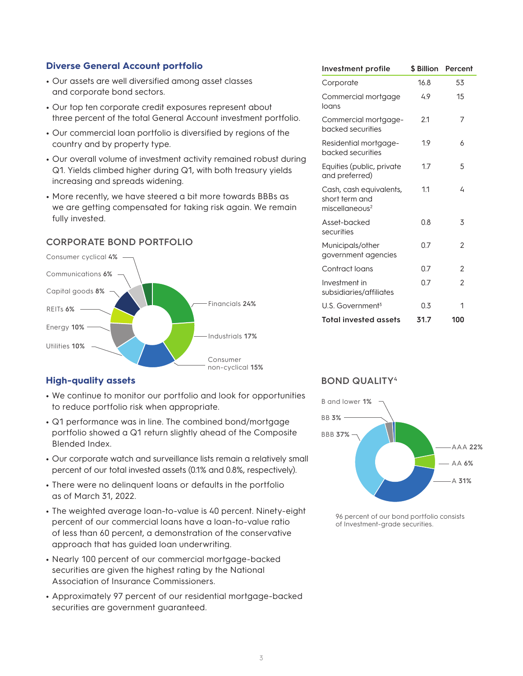# **Diverse General Account portfolio**

- **•** Our assets are well diversified among asset classes and corporate bond sectors.
- **•** Our top ten corporate credit exposures represent about three percent of the total General Account investment portfolio.
- **•** Our commercial loan portfolio is diversified by regions of the country and by property type.
- **•** Our overall volume of investment activity remained robust during Q1. Yields climbed higher during Q1, with both treasury yields increasing and spreads widening.
- **•** More recently, we have steered a bit more towards BBBs as we are getting compensated for taking risk again. We remain fully invested.

# **CORPORATE BOND PORTFOLIO**



# **High-quality assets**

- **•** We continue to monitor our portfolio and look for opportunities to reduce portfolio risk when appropriate.
- **•** Q1 performance was in line. The combined bond/mortgage portfolio showed a Q1 return slightly ahead of the Composite Blended Index.
- **•** Our corporate watch and surveillance lists remain a relatively small percent of our total invested assets (0.1% and 0.8%, respectively).
- **•** There were no delinquent loans or defaults in the portfolio as of March 31, 2022.
- **•** The weighted average loan-to-value is 40 percent. Ninety-eight percent of our commercial loans have a loan-to-value ratio of less than 60 percent, a demonstration of the conservative approach that has guided loan underwriting.
- **•** Nearly 100 percent of our commercial mortgage-backed securities are given the highest rating by the National Association of Insurance Commissioners.
- **•** Approximately 97 percent of our residential mortgage-backed securities are government guaranteed.

| <b>Investment profile</b>                                               | \$ Billion | Percent        |
|-------------------------------------------------------------------------|------------|----------------|
| Corporate                                                               | 16.8       | 53             |
| Commercial mortgage<br>loans                                            | 4.9        | 15             |
| Commercial mortgage-<br>backed securities                               | 2.1        | 7              |
| Residential mortgage-<br>backed securities                              | 1.9        | 6              |
| Equities (public, private<br>and preferred)                             | 1.7        | 5              |
| Cash, cash equivalents,<br>short term and<br>miscellaneous <sup>2</sup> | 1.1        | 4              |
| Asset-backed<br>securities                                              | 0.8        | 3              |
| Municipals/other<br>government agencies                                 | 0.7        | 2              |
| Contract loans                                                          | 0.7        | $\overline{2}$ |
| Investment in<br>subsidiaries/affiliates                                | 0.7        | $\mathfrak{p}$ |
| $U.S.$ Government <sup>3</sup>                                          | 0.3        | 1              |
| <b>Total invested assets</b>                                            | 31.7       | 100            |

# **BOND QUALITY4**



<sup>96</sup> percent of our bond portfolio consists of Investment-grade securities.